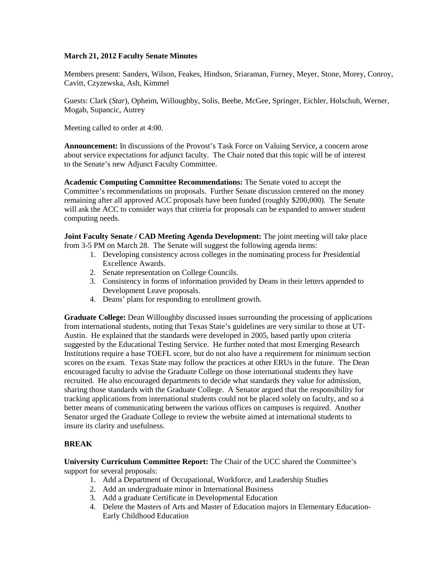## **March 21, 2012 Faculty Senate Minutes**

Members present: Sanders, Wilson, Feakes, Hindson, Sriaraman, Furney, Meyer, Stone, Morey, Conroy, Cavitt, Czyzewska, Ash, Kimmel

Guests: Clark (*Star*), Opheim, Willoughby, Solis, Beebe, McGee, Springer, Eichler, Holschuh, Werner, Mogab, Supancic, Autrey

Meeting called to order at 4:00.

**Announcement:** In discussions of the Provost's Task Force on Valuing Service, a concern arose about service expectations for adjunct faculty. The Chair noted that this topic will be of interest to the Senate's new Adjunct Faculty Committee.

**Academic Computing Committee Recommendations:** The Senate voted to accept the Committee's recommendations on proposals. Further Senate discussion centered on the money remaining after all approved ACC proposals have been funded (roughly \$200,000). The Senate will ask the ACC to consider ways that criteria for proposals can be expanded to answer student computing needs.

**Joint Faculty Senate / CAD Meeting Agenda Development:** The joint meeting will take place from 3-5 PM on March 28. The Senate will suggest the following agenda items:

- 1. Developing consistency across colleges in the nominating process for Presidential Excellence Awards.
- 2. Senate representation on College Councils.
- 3. Consistency in forms of information provided by Deans in their letters appended to Development Leave proposals.
- 4. Deans' plans for responding to enrollment growth.

**Graduate College:** Dean Willoughby discussed issues surrounding the processing of applications from international students, noting that Texas State's guidelines are very similar to those at UT-Austin. He explained that the standards were developed in 2005, based partly upon criteria suggested by the Educational Testing Service. He further noted that most Emerging Research Institutions require a base TOEFL score, but do not also have a requirement for minimum section scores on the exam. Texas State may follow the practices at other ERUs in the future. The Dean encouraged faculty to advise the Graduate College on those international students they have recruited. He also encouraged departments to decide what standards they value for admission, sharing those standards with the Graduate College. A Senator argued that the responsibility for tracking applications from international students could not be placed solely on faculty, and so a better means of communicating between the various offices on campuses is required. Another Senator urged the Graduate College to review the website aimed at international students to insure its clarity and usefulness.

## **BREAK**

**University Curriculum Committee Report:** The Chair of the UCC shared the Committee's support for several proposals:

- 1. Add a Department of Occupational, Workforce, and Leadership Studies
- 2. Add an undergraduate minor in International Business
- 3. Add a graduate Certificate in Developmental Education
- 4. Delete the Masters of Arts and Master of Education majors in Elementary Education-Early Childhood Education